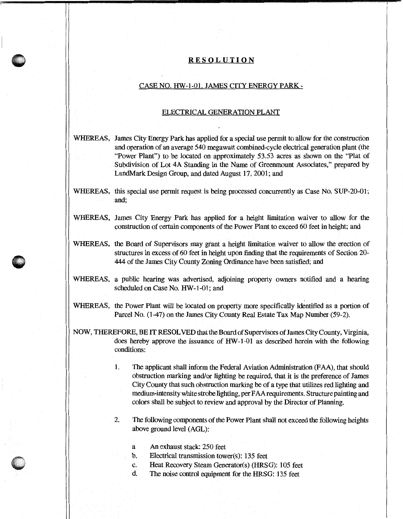## **RESOLUTION**

## CASE NO. HW-1-01. JAMES CITYENERGYPARK-

## ELECTRICAL GENERATION PLANT

- WHEREAS, James City Energy Park has applied for a special use permit to allow for the construction and operation of an average 540 megawatt combined-cycle electrical generation plant (the "Power Plant") to be located on approximately 53.53 acres as shown on the "Plat of Subdivision of Lot 4A Standing in the Name of Greenmount Associates," prepared by LandMark Design Group, and dated August 17, 2001; and
- WHEREAS, this special use permit request is being processed concurrently as Case No. SUP-20-01; and;
- WHEREAS, James City Energy Park has applied for a height limitation waiver to allow for the construction of certain components of the Power Plant to exceed 60 feet in height; and
- WHEREAS, the Board of Supervisors may grant a height limitation waiver to allow the erection of structures in excess of 60 feet in height upon finding that the requirements of Section 20- 444 of the James City County Zoning Ordinance have been satisfied; and
- WHEREAS, a public hearing was advertised, adjoining property owners notified and a hearing scheduled on Case No. HW-1-01; and
- WHEREAS, the Power Plant will be located on property more specifically identified as a portion of Parcel No. (1-47) on the James City County Real Estate Tax Map Number (59-2).
- NOW, THEREFORE, BE IT RESOLVED that the Board of Supervisors of James City County, Virginia, does hereby approve the issuance of HW-1-01 as described herein with the following conditions:
	- 1. The applicant shall inform the Federal Aviation Administration (FAA), that should obstruction marking and/or lighting be required, that it is the preference of James City County that such obstruction marking be of a type that utilizes red lighting and medium-intensity white strobe lighting, per FAA requirements. Structure painting and colors shall be subject to review and approval by the Director of Planning.
	- 2. The following components of the Power Plant shall not exceed the following heights above ground level (AGL):
		- a An exhaust stack: 250 feet

 $\bullet$ ..

- b. Electrical transmission tower(s): 135 feet
- c. Heat Recovery Steam Generator(s) (HRSG): 105 feet
- d. The noise control equipment for the HRSG: 135 feet